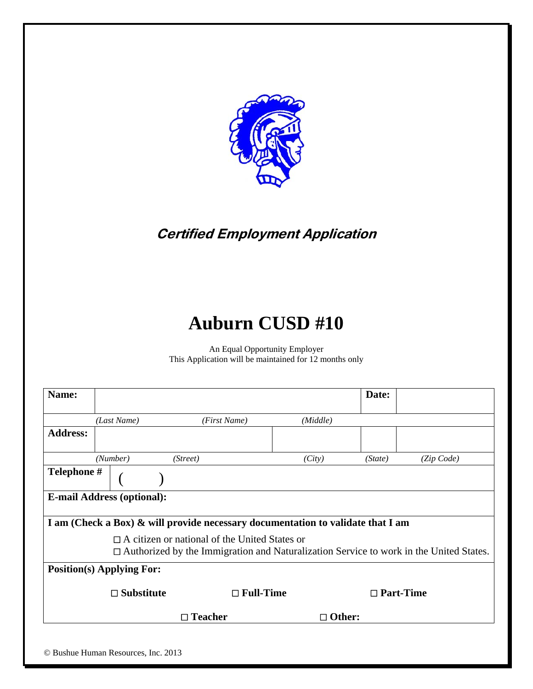

**Certified Employment Application** 

# **Auburn CUSD #10**

An Equal Opportunity Employer This Application will be maintained for 12 months only

| Name:           |                                                                                                                                                       |                                                                                 |               | Date:   |                  |  |  |  |
|-----------------|-------------------------------------------------------------------------------------------------------------------------------------------------------|---------------------------------------------------------------------------------|---------------|---------|------------------|--|--|--|
|                 | (Last Name)                                                                                                                                           | (First Name)                                                                    | (Middle)      |         |                  |  |  |  |
| <b>Address:</b> |                                                                                                                                                       |                                                                                 |               |         |                  |  |  |  |
|                 | (Number)                                                                                                                                              | (Street)                                                                        | (City)        | (State) | (Zip Code)       |  |  |  |
| Telephone #     |                                                                                                                                                       |                                                                                 |               |         |                  |  |  |  |
|                 | <b>E-mail Address (optional):</b>                                                                                                                     |                                                                                 |               |         |                  |  |  |  |
|                 |                                                                                                                                                       | I am (Check a Box) & will provide necessary documentation to validate that I am |               |         |                  |  |  |  |
|                 | $\Box$ A citizen or national of the United States or<br>$\Box$ Authorized by the Immigration and Naturalization Service to work in the United States. |                                                                                 |               |         |                  |  |  |  |
|                 | <b>Position(s) Applying For:</b>                                                                                                                      |                                                                                 |               |         |                  |  |  |  |
|                 | $\Box$ Substitute                                                                                                                                     | $\Box$ Full-Time                                                                |               |         | $\Box$ Part-Time |  |  |  |
|                 |                                                                                                                                                       | $\Box$ Teacher                                                                  | $\Box$ Other: |         |                  |  |  |  |
|                 |                                                                                                                                                       |                                                                                 |               |         |                  |  |  |  |
|                 | © Bushue Human Resources, Inc. 2013                                                                                                                   |                                                                                 |               |         |                  |  |  |  |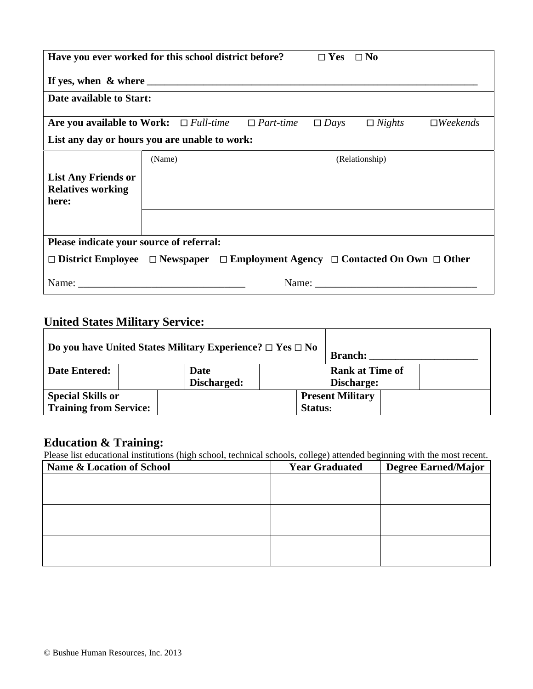| Have you ever worked for this school district before?<br>$\Box$ Yes $\Box$ No                                                                                                                                                  |        |  |  |             |                |                        |  |  |
|--------------------------------------------------------------------------------------------------------------------------------------------------------------------------------------------------------------------------------|--------|--|--|-------------|----------------|------------------------|--|--|
|                                                                                                                                                                                                                                |        |  |  |             |                |                        |  |  |
| Date available to Start:                                                                                                                                                                                                       |        |  |  |             |                |                        |  |  |
| Are you available to Work: $\Box$ Full-time $\Box$ Part-time                                                                                                                                                                   |        |  |  | $\Box$ Days | $\Box$ Nights  | $\Box$ <i>Weekends</i> |  |  |
| List any day or hours you are unable to work:                                                                                                                                                                                  |        |  |  |             |                |                        |  |  |
|                                                                                                                                                                                                                                | (Name) |  |  |             | (Relationship) |                        |  |  |
| <b>List Any Friends or</b>                                                                                                                                                                                                     |        |  |  |             |                |                        |  |  |
| <b>Relatives working</b><br>here:                                                                                                                                                                                              |        |  |  |             |                |                        |  |  |
|                                                                                                                                                                                                                                |        |  |  |             |                |                        |  |  |
|                                                                                                                                                                                                                                |        |  |  |             |                |                        |  |  |
| Please indicate your source of referral:                                                                                                                                                                                       |        |  |  |             |                |                        |  |  |
| $\Box$ District Employee $\Box$ Newspaper $\Box$ Employment Agency $\Box$ Contacted On Own $\Box$ Other                                                                                                                        |        |  |  |             |                |                        |  |  |
| Name: Name and the second state of the second state of the second state of the second state of the second state of the second state of the second state of the second state of the second state of the second state of the sec |        |  |  |             | Name:          |                        |  |  |

## **United States Military Service:**

| Do you have United States Military Experience? $\square$ Yes $\square$ No |  |                     |         | <b>Branch:</b>                       |  |
|---------------------------------------------------------------------------|--|---------------------|---------|--------------------------------------|--|
| <b>Date Entered:</b>                                                      |  | Date<br>Discharged: |         | <b>Rank at Time of</b><br>Discharge: |  |
| <b>Special Skills or</b><br><b>Training from Service:</b>                 |  |                     | Status: | <b>Present Military</b>              |  |

## **Education & Training:**

Please list educational institutions (high school, technical schools, college) attended beginning with the most recent.

| Name & Location of School | <b>Year Graduated</b> | <b>Degree Earned/Major</b> |
|---------------------------|-----------------------|----------------------------|
|                           |                       |                            |
|                           |                       |                            |
|                           |                       |                            |
|                           |                       |                            |
|                           |                       |                            |
|                           |                       |                            |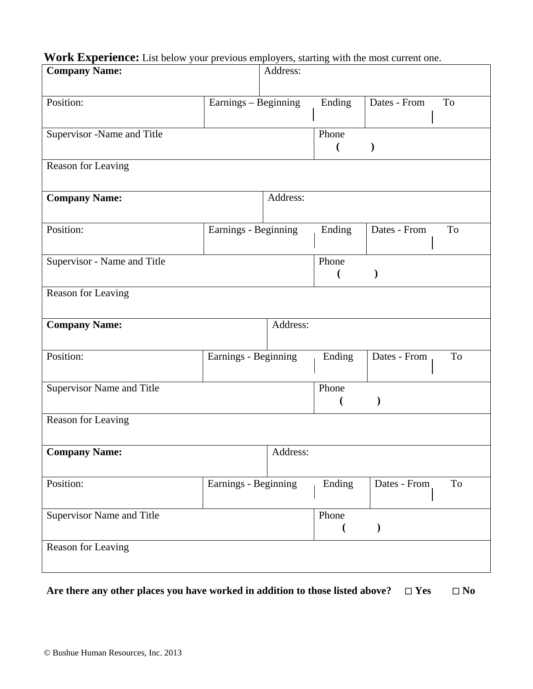# **Work Experience:** List below your previous employers, starting with the most current one.

| <b>Company Name:</b>             |                      | Address: |                         |               |    |
|----------------------------------|----------------------|----------|-------------------------|---------------|----|
|                                  |                      |          |                         |               |    |
| Position:                        | Earnings - Beginning |          | Ending                  | Dates - From  | To |
|                                  |                      |          |                         |               |    |
| Supervisor -Name and Title       |                      |          | Phone                   |               |    |
|                                  |                      |          | €                       |               |    |
| Reason for Leaving               |                      |          |                         |               |    |
|                                  |                      |          |                         |               |    |
| <b>Company Name:</b>             |                      | Address: |                         |               |    |
|                                  |                      |          |                         |               |    |
| Position:                        | Earnings - Beginning |          | Ending                  | Dates - From  | To |
|                                  |                      |          |                         |               |    |
| Supervisor - Name and Title      |                      |          | Phone<br>$\overline{ }$ | $\mathcal{E}$ |    |
|                                  |                      |          |                         |               |    |
| Reason for Leaving               |                      |          |                         |               |    |
| <b>Company Name:</b>             |                      | Address: |                         |               |    |
|                                  |                      |          |                         |               |    |
| Position:                        | Earnings - Beginning |          | Ending                  | Dates - From  | To |
|                                  |                      |          |                         |               |    |
| Supervisor Name and Title        |                      |          | Phone                   |               |    |
|                                  |                      |          |                         | $\lambda$     |    |
| Reason for Leaving               |                      |          |                         |               |    |
|                                  |                      |          |                         |               |    |
| <b>Company Name:</b>             |                      | Address: |                         |               |    |
|                                  |                      |          |                         |               |    |
| Position:                        | Earnings - Beginning |          | Ending                  | Dates - From  | To |
|                                  |                      |          |                         |               |    |
| <b>Supervisor Name and Title</b> |                      |          | Phone                   |               |    |
|                                  |                      |          |                         |               |    |
| Reason for Leaving               |                      |          |                         |               |    |
|                                  |                      |          |                         |               |    |
|                                  |                      |          |                         |               |    |

Are there any other places you have worked in addition to those listed above?  $\Box$  Yes  $\Box$  No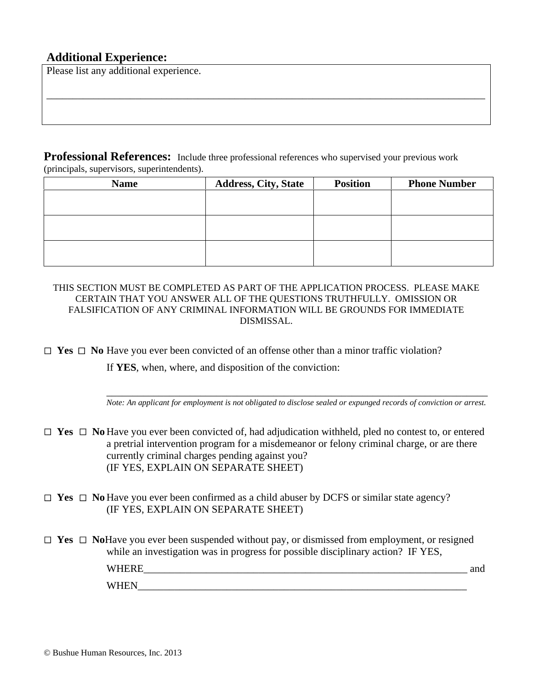#### **Additional Experience:**

Please list any additional experience.

**Professional References:** Include three professional references who supervised your previous work (principals, supervisors, superintendents).

| <b>Name</b> | <b>Address, City, State</b> | <b>Position</b> | <b>Phone Number</b> |
|-------------|-----------------------------|-----------------|---------------------|
|             |                             |                 |                     |
|             |                             |                 |                     |
|             |                             |                 |                     |
|             |                             |                 |                     |
|             |                             |                 |                     |
|             |                             |                 |                     |

\_\_\_\_\_\_\_\_\_\_\_\_\_\_\_\_\_\_\_\_\_\_\_\_\_\_\_\_\_\_\_\_\_\_\_\_\_\_\_\_\_\_\_\_\_\_\_\_\_\_\_\_\_\_\_\_\_\_\_\_\_\_\_\_\_\_\_\_\_\_\_\_\_\_\_\_\_\_\_\_\_\_\_\_

THIS SECTION MUST BE COMPLETED AS PART OF THE APPLICATION PROCESS. PLEASE MAKE CERTAIN THAT YOU ANSWER ALL OF THE QUESTIONS TRUTHFULLY. OMISSION OR FALSIFICATION OF ANY CRIMINAL INFORMATION WILL BE GROUNDS FOR IMMEDIATE DISMISSAL.

 $\Box$  **Yes**  $\Box$  **No** Have you ever been convicted of an offense other than a minor traffic violation?

If **YES**, when, where, and disposition of the conviction:

\_\_\_\_\_\_\_\_\_\_\_\_\_\_\_\_\_\_\_\_\_\_\_\_\_\_\_\_\_\_\_\_\_\_\_\_\_\_\_\_\_\_\_\_\_\_\_\_\_\_\_\_\_\_\_\_\_\_\_\_\_\_\_\_\_\_\_\_\_\_\_\_\_ *Note: An applicant for employment is not obligated to disclose sealed or expunged records of conviction or arrest*.

 **Yes No** Have you ever been convicted of, had adjudication withheld, pled no contest to, or entered a pretrial intervention program for a misdemeanor or felony criminal charge, or are there currently criminal charges pending against you? (IF YES, EXPLAIN ON SEPARATE SHEET)

 **Yes No** Have you ever been confirmed as a child abuser by DCFS or similar state agency? (IF YES, EXPLAIN ON SEPARATE SHEET)

 **Yes No**Have you ever been suspended without pay, or dismissed from employment, or resigned while an investigation was in progress for possible disciplinary action? IF YES, WHERE  $\Box$  $W\text{HEN}$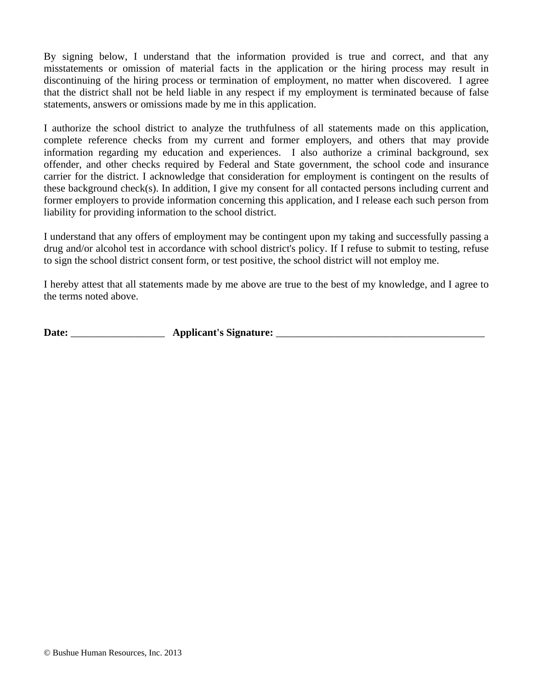By signing below, I understand that the information provided is true and correct, and that any misstatements or omission of material facts in the application or the hiring process may result in discontinuing of the hiring process or termination of employment, no matter when discovered. I agree that the district shall not be held liable in any respect if my employment is terminated because of false statements, answers or omissions made by me in this application.

I authorize the school district to analyze the truthfulness of all statements made on this application, complete reference checks from my current and former employers, and others that may provide information regarding my education and experiences. I also authorize a criminal background, sex offender, and other checks required by Federal and State government, the school code and insurance carrier for the district. I acknowledge that consideration for employment is contingent on the results of these background check(s). In addition, I give my consent for all contacted persons including current and former employers to provide information concerning this application, and I release each such person from liability for providing information to the school district.

I understand that any offers of employment may be contingent upon my taking and successfully passing a drug and/or alcohol test in accordance with school district's policy. If I refuse to submit to testing, refuse to sign the school district consent form, or test positive, the school district will not employ me.

I hereby attest that all statements made by me above are true to the best of my knowledge, and I agree to the terms noted above.

**Date:** \_\_\_\_\_\_\_\_\_\_\_\_\_\_\_\_\_\_ **Applicant's Signature:** \_\_\_\_\_\_\_\_\_\_\_\_\_\_\_\_\_\_\_\_\_\_\_\_\_\_\_\_\_\_\_\_\_\_\_\_\_\_\_\_